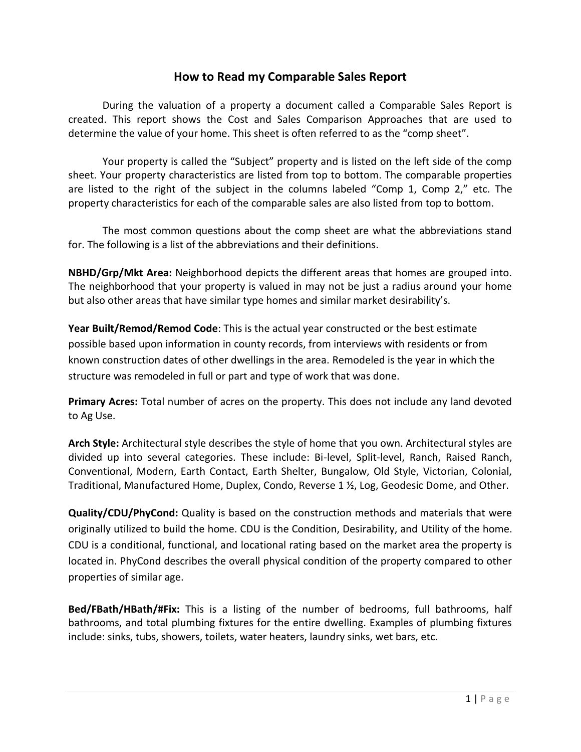## **How to Read my Comparable Sales Report**

During the valuation of a property a document called a Comparable Sales Report is created. This report shows the Cost and Sales Comparison Approaches that are used to determine the value of your home. This sheet is often referred to as the "comp sheet".

Your property is called the "Subject" property and is listed on the left side of the comp sheet. Your property characteristics are listed from top to bottom. The comparable properties are listed to the right of the subject in the columns labeled "Comp 1, Comp 2," etc. The property characteristics for each of the comparable sales are also listed from top to bottom.

The most common questions about the comp sheet are what the abbreviations stand for. The following is a list of the abbreviations and their definitions.

**NBHD/Grp/Mkt Area:** Neighborhood depicts the different areas that homes are grouped into. The neighborhood that your property is valued in may not be just a radius around your home but also other areas that have similar type homes and similar market desirability's.

**Year Built/Remod/Remod Code**: This is the actual year constructed or the best estimate possible based upon information in county records, from interviews with residents or from known construction dates of other dwellings in the area. Remodeled is the year in which the structure was remodeled in full or part and type of work that was done.

**Primary Acres:** Total number of acres on the property. This does not include any land devoted to Ag Use.

**Arch Style:** Architectural style describes the style of home that you own. Architectural styles are divided up into several categories. These include: Bi-level, Split-level, Ranch, Raised Ranch, Conventional, Modern, Earth Contact, Earth Shelter, Bungalow, Old Style, Victorian, Colonial, Traditional, Manufactured Home, Duplex, Condo, Reverse 1 ½, Log, Geodesic Dome, and Other.

**Quality/CDU/PhyCond:** Quality is based on the construction methods and materials that were originally utilized to build the home. CDU is the Condition, Desirability, and Utility of the home. CDU is a conditional, functional, and locational rating based on the market area the property is located in. PhyCond describes the overall physical condition of the property compared to other properties of similar age.

**Bed/FBath/HBath/#Fix:** This is a listing of the number of bedrooms, full bathrooms, half bathrooms, and total plumbing fixtures for the entire dwelling. Examples of plumbing fixtures include: sinks, tubs, showers, toilets, water heaters, laundry sinks, wet bars, etc.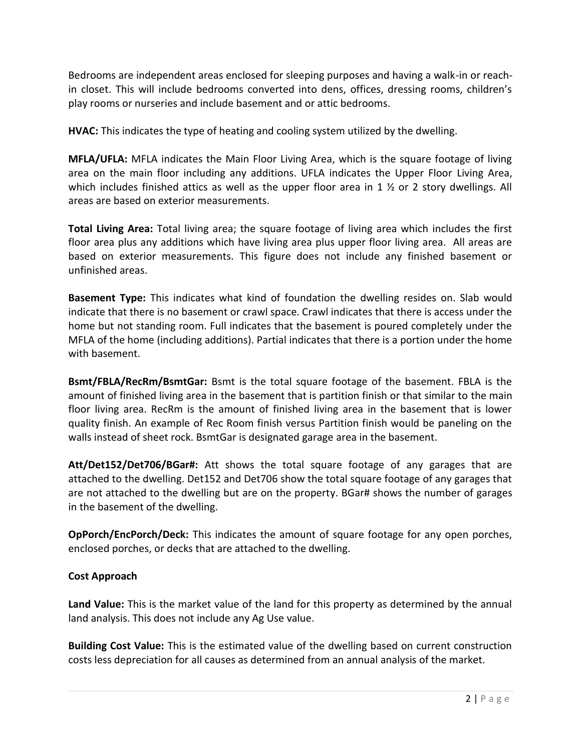Bedrooms are independent areas enclosed for sleeping purposes and having a walk-in or reachin closet. This will include bedrooms converted into dens, offices, dressing rooms, children's play rooms or nurseries and include basement and or attic bedrooms.

**HVAC:** This indicates the type of heating and cooling system utilized by the dwelling.

**MFLA/UFLA:** MFLA indicates the Main Floor Living Area, which is the square footage of living area on the main floor including any additions. UFLA indicates the Upper Floor Living Area, which includes finished attics as well as the upper floor area in 1  $\frac{1}{2}$  or 2 story dwellings. All areas are based on exterior measurements.

**Total Living Area:** Total living area; the square footage of living area which includes the first floor area plus any additions which have living area plus upper floor living area. All areas are based on exterior measurements. This figure does not include any finished basement or unfinished areas.

**Basement Type:** This indicates what kind of foundation the dwelling resides on. Slab would indicate that there is no basement or crawl space. Crawl indicates that there is access under the home but not standing room. Full indicates that the basement is poured completely under the MFLA of the home (including additions). Partial indicates that there is a portion under the home with basement.

**Bsmt/FBLA/RecRm/BsmtGar:** Bsmt is the total square footage of the basement. FBLA is the amount of finished living area in the basement that is partition finish or that similar to the main floor living area. RecRm is the amount of finished living area in the basement that is lower quality finish. An example of Rec Room finish versus Partition finish would be paneling on the walls instead of sheet rock. BsmtGar is designated garage area in the basement.

**Att/Det152/Det706/BGar#:** Att shows the total square footage of any garages that are attached to the dwelling. Det152 and Det706 show the total square footage of any garages that are not attached to the dwelling but are on the property. BGar# shows the number of garages in the basement of the dwelling.

**OpPorch/EncPorch/Deck:** This indicates the amount of square footage for any open porches, enclosed porches, or decks that are attached to the dwelling.

## **Cost Approach**

**Land Value:** This is the market value of the land for this property as determined by the annual land analysis. This does not include any Ag Use value.

**Building Cost Value:** This is the estimated value of the dwelling based on current construction costs less depreciation for all causes as determined from an annual analysis of the market.